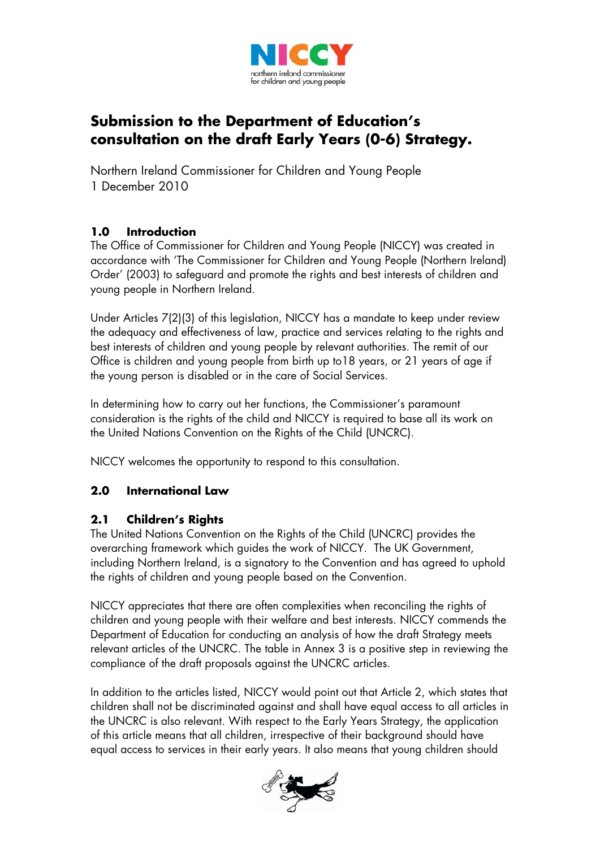

# **Submission to the Department of Education's consultation on the draft Early Years (0-6) Strategy.**

Northern Ireland Commissioner for Children and Young People 1 December 2010

# **1.0 Introduction**

The Office of Commissioner for Children and Young People (NICCY) was created in accordance with 'The Commissioner for Children and Young People (Northern Ireland) Order' (2003) to safeguard and promote the rights and best interests of children and young people in Northern Ireland.

Under Articles 7(2)(3) of this legislation, NICCY has a mandate to keep under review the adequacy and effectiveness of law, practice and services relating to the rights and best interests of children and young people by relevant authorities. The remit of our Office is children and young people from birth up to18 years, or 21 years of age if the young person is disabled or in the care of Social Services.

In determining how to carry out her functions, the Commissioner's paramount consideration is the rights of the child and NICCY is required to base all its work on the United Nations Convention on the Rights of the Child (UNCRC).

NICCY welcomes the opportunity to respond to this consultation.

# **2.0 International Law**

## **2.1 Children's Rights**

The United Nations Convention on the Rights of the Child (UNCRC) provides the overarching framework which guides the work of NICCY. The UK Government, including Northern Ireland, is a signatory to the Convention and has agreed to uphold the rights of children and young people based on the Convention.

NICCY appreciates that there are often complexities when reconciling the rights of children and young people with their welfare and best interests. NICCY commends the Department of Education for conducting an analysis of how the draft Strategy meets relevant articles of the UNCRC. The table in Annex 3 is a positive step in reviewing the compliance of the draft proposals against the UNCRC articles.

In addition to the articles listed, NICCY would point out that Article 2, which states that children shall not be discriminated against and shall have equal access to all articles in the UNCRC is also relevant. With respect to the Early Years Strategy, the application of this article means that all children, irrespective of their background should have equal access to services in their early years. It also means that young children should

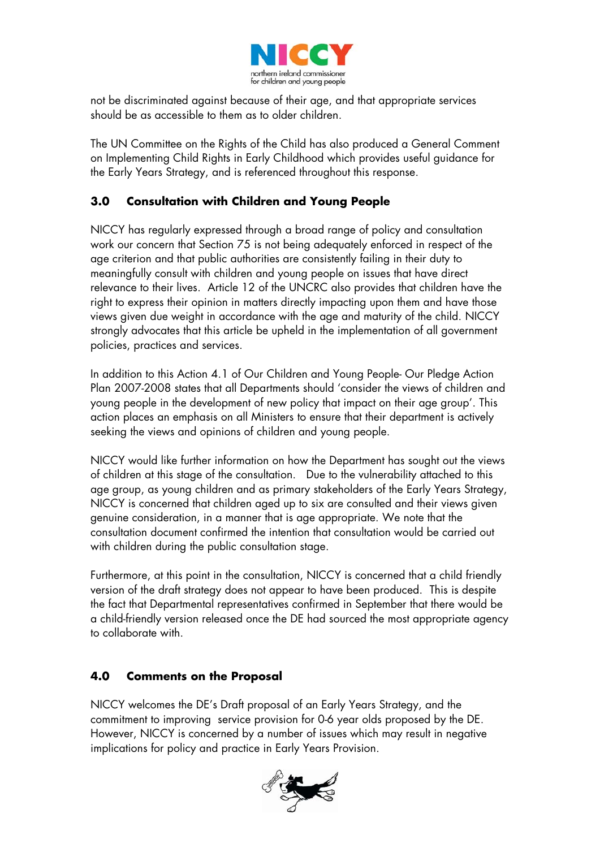

not be discriminated against because of their age, and that appropriate services should be as accessible to them as to older children.

The UN Committee on the Rights of the Child has also produced a General Comment on Implementing Child Rights in Early Childhood which provides useful guidance for the Early Years Strategy, and is referenced throughout this response.

# **3.0 Consultation with Children and Young People**

NICCY has regularly expressed through a broad range of policy and consultation work our concern that Section 75 is not being adequately enforced in respect of the age criterion and that public authorities are consistently failing in their duty to meaningfully consult with children and young people on issues that have direct relevance to their lives. Article 12 of the UNCRC also provides that children have the right to express their opinion in matters directly impacting upon them and have those views given due weight in accordance with the age and maturity of the child. NICCY strongly advocates that this article be upheld in the implementation of all government policies, practices and services.

In addition to this Action 4.1 of Our Children and Young People- Our Pledge Action Plan 2007-2008 states that all Departments should 'consider the views of children and young people in the development of new policy that impact on their age group'. This action places an emphasis on all Ministers to ensure that their department is actively seeking the views and opinions of children and young people.

NICCY would like further information on how the Department has sought out the views of children at this stage of the consultation. Due to the vulnerability attached to this age group, as young children and as primary stakeholders of the Early Years Strategy, NICCY is concerned that children aged up to six are consulted and their views given genuine consideration, in a manner that is age appropriate. We note that the consultation document confirmed the intention that consultation would be carried out with children during the public consultation stage.

Furthermore, at this point in the consultation, NICCY is concerned that a child friendly version of the draft strategy does not appear to have been produced. This is despite the fact that Departmental representatives confirmed in September that there would be a child-friendly version released once the DE had sourced the most appropriate agency to collaborate with.

## **4.0 Comments on the Proposal**

NICCY welcomes the DE's Draft proposal of an Early Years Strategy, and the commitment to improving service provision for 0-6 year olds proposed by the DE. However, NICCY is concerned by a number of issues which may result in negative implications for policy and practice in Early Years Provision.

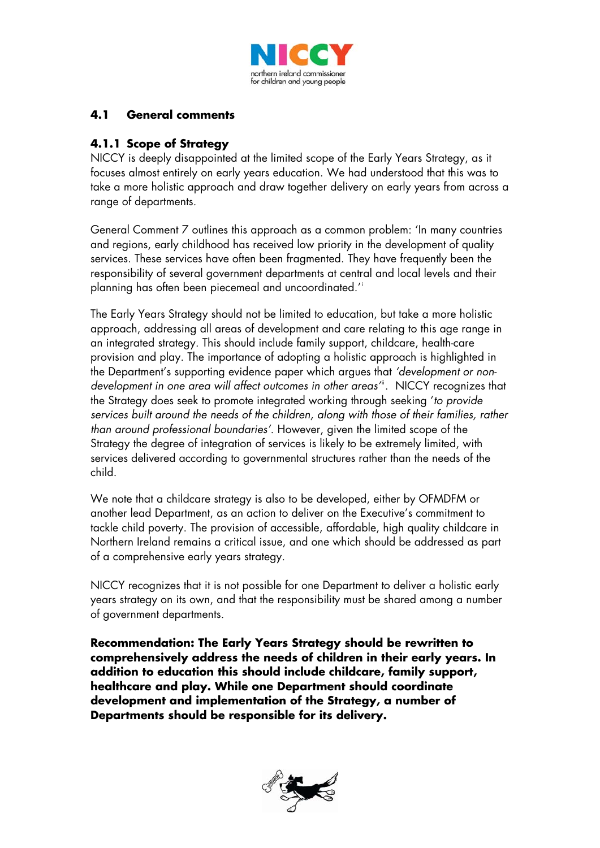

## **4.1 General comments**

## **4.1.1 Scope of Strategy**

NICCY is deeply disappointed at the limited scope of the Early Years Strategy, as it focuses almost entirely on early years education. We had understood that this was to take a more holistic approach and draw together delivery on early years from across a range of departments.

General Comment 7 outlines this approach as a common problem: 'In many countries and regions, early childhood has received low priority in the development of quality services. These services have often been fragmented. They have frequently been the responsibility of several government departments at central and local levels and their planning has often been piecemeal and uncoordinated.'[i](#page-13-0)

The Early Years Strategy should not be limited to education, but take a more holistic approach, addressing all areas of development and care relating to this age range in an integrated strategy. This should include family support, childcare, health-care provision and play. The importance of adopting a holistic approach is highlighted in the Department's supporting evidence paper which argues that *'development or nondevelopment in one area will affect outcomes in other areas*<sup>"</sup>. NICCY recognizes that the Strategy does seek to promote integrated working through seeking '*to provide services built around the needs of the children, along with those of their families, rather than around professional boundaries'.* However, given the limited scope of the Strategy the degree of integration of services is likely to be extremely limited, with services delivered according to governmental structures rather than the needs of the child.

We note that a childcare strategy is also to be developed, either by OFMDFM or another lead Department, as an action to deliver on the Executive's commitment to tackle child poverty. The provision of accessible, affordable, high quality childcare in Northern Ireland remains a critical issue, and one which should be addressed as part of a comprehensive early years strategy.

NICCY recognizes that it is not possible for one Department to deliver a holistic early years strategy on its own, and that the responsibility must be shared among a number of government departments.

**Recommendation: The Early Years Strategy should be rewritten to comprehensively address the needs of children in their early years. In addition to education this should include childcare, family support, healthcare and play. While one Department should coordinate development and implementation of the Strategy, a number of Departments should be responsible for its delivery.**

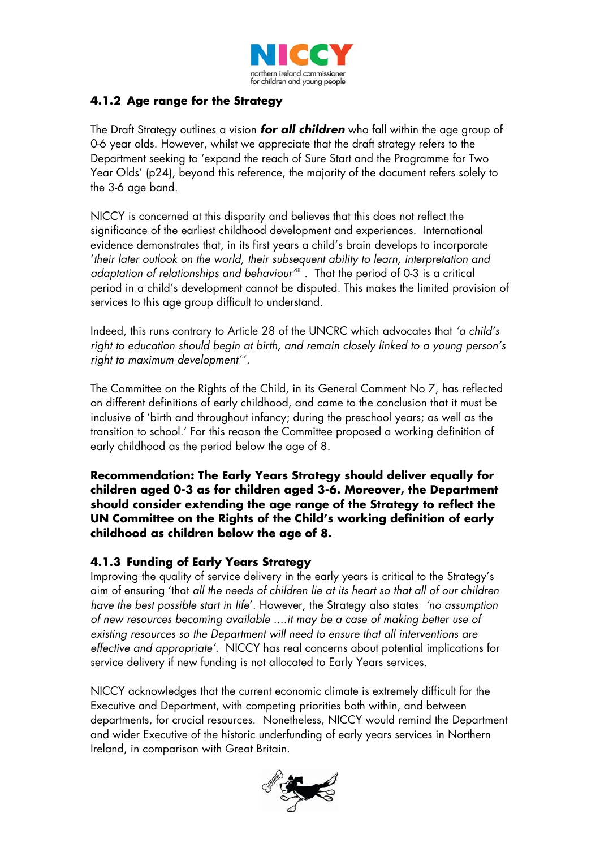

## **4.1.2 Age range for the Strategy**

The Draft Strategy outlines a vision *for all children* who fall within the age group of 0-6 year olds. However, whilst we appreciate that the draft strategy refers to the Department seeking to 'expand the reach of Sure Start and the Programme for Two Year Olds' (p24), beyond this reference, the majority of the document refers solely to the 3-6 age band.

period in a child's development cannot be disputed. This makes the limited provision of NICCY is concerned at this disparity and believes that this does not reflect the significance of the earliest childhood development and experiences. International evidence demonstrates that, in its first years a child's brain develops to incorporate '*their later outlook on the world, their subsequent ability to learn, interpretation and adaptation of relationships and behaviour*<sup>[iii](#page-13-2)</sup>. That the period of 0-3 is a critical services to this age group difficult to understand.

Indeed, this runs contrary to Article 28 of the UNCRC which advocates that *'a child's right to education should begin at birth, and remain closely linked to a young person's right to maximum development'[iv](#page-13-3) .*

The Committee on the Rights of the Child, in its General Comment No 7, has reflected on different definitions of early childhood, and came to the conclusion that it must be inclusive of 'birth and throughout infancy; during the preschool years; as well as the transition to school.' For this reason the Committee proposed a working definition of early childhood as the period below the age of 8.

**Recommendation: The Early Years Strategy should deliver equally for children aged 0-3 as for children aged 3-6. Moreover, the Department should consider extending the age range of the Strategy to reflect the UN Committee on the Rights of the Child's working definition of early childhood as children below the age of 8.** 

## **4.1.3 Funding of Early Years Strategy**

Improving the quality of service delivery in the early years is critical to the Strategy's aim of ensuring 'that *all the needs of children lie at its heart so that all of our children have the best possible start in life*'. However, the Strategy also states *'no assumption of new resources becoming available ....it may be a case of making better use of existing resources so the Department will need to ensure that all interventions are effective and appropriate'.* NICCY has real concerns about potential implications for service delivery if new funding is not allocated to Early Years services.

NICCY acknowledges that the current economic climate is extremely difficult for the Executive and Department, with competing priorities both within, and between departments, for crucial resources. Nonetheless, NICCY would remind the Department and wider Executive of the historic underfunding of early years services in Northern Ireland, in comparison with Great Britain.

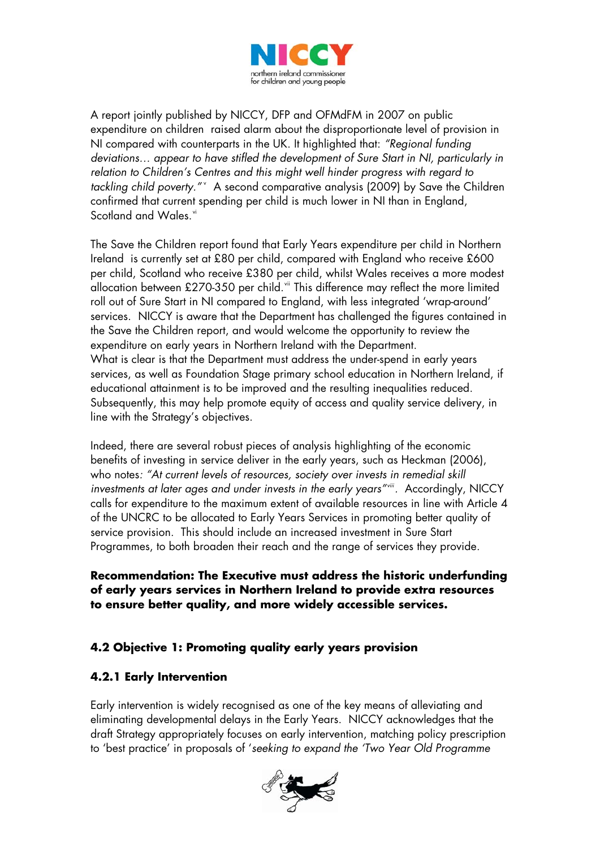

A report jointly published by NICCY, DFP and OFMdFM in 2007 on public expenditure on children raised alarm about the disproportionate level of provision in NI compared with counterparts in the UK. It highlighted that: *"Regional funding deviations… appear to have stifled the development of Sure Start in NI, particularly in relation to Children's Centres and this might well hinder progress with regard to*  tackling child po[v](#page-13-4)erty." A second comparative analysis (2009) by Save the Children confirmed that current spending per child is much lower in NI than in England, Scotland and Wales.<sup>[vi](#page-13-5)</sup>

The Save the Children report found that Early Years expenditure per child in Northern Ireland is currently set at £80 per child, compared with England who receive £600 per child, Scotland who receive £380 per child, whilst Wales receives a more modest allocation between £270-350 per child.<sup>[vii](#page-14-0)</sup> This difference may reflect the more limited roll out of Sure Start in NI compared to England, with less integrated 'wrap-around' services. NICCY is aware that the Department has challenged the figures contained in the Save the Children report, and would welcome the opportunity to review the expenditure on early years in Northern Ireland with the Department. What is clear is that the Department must address the under-spend in early years services, as well as Foundation Stage primary school education in Northern Ireland, if educational attainment is to be improved and the resulting inequalities reduced. Subsequently, this may help promote equity of access and quality service delivery, in line with the Strategy's objectives.

Indeed, there are several robust pieces of analysis highlighting of the economic benefits of investing in service deliver in the early years, such as Heckman (2006), who notes*: "At current levels of resources, society over invests in remedial skill*  investments at later ages and under invests in the early years"<sup>wiii</sup>. Accordingly, NICCY calls for expenditure to the maximum extent of available resources in line with Article 4 of the UNCRC to be allocated to Early Years Services in promoting better quality of service provision. This should include an increased investment in Sure Start Programmes, to both broaden their reach and the range of services they provide.

**Recommendation: The Executive must address the historic underfunding of early years services in Northern Ireland to provide extra resources to ensure better quality, and more widely accessible services.** 

## **4.2 Objective 1: Promoting quality early years provision**

## **4.2.1 Early Intervention**

Early intervention is widely recognised as one of the key means of alleviating and eliminating developmental delays in the Early Years. NICCY acknowledges that the draft Strategy appropriately focuses on early intervention, matching policy prescription to 'best practice' in proposals of '*seeking to expand the 'Two Year Old Programme* 

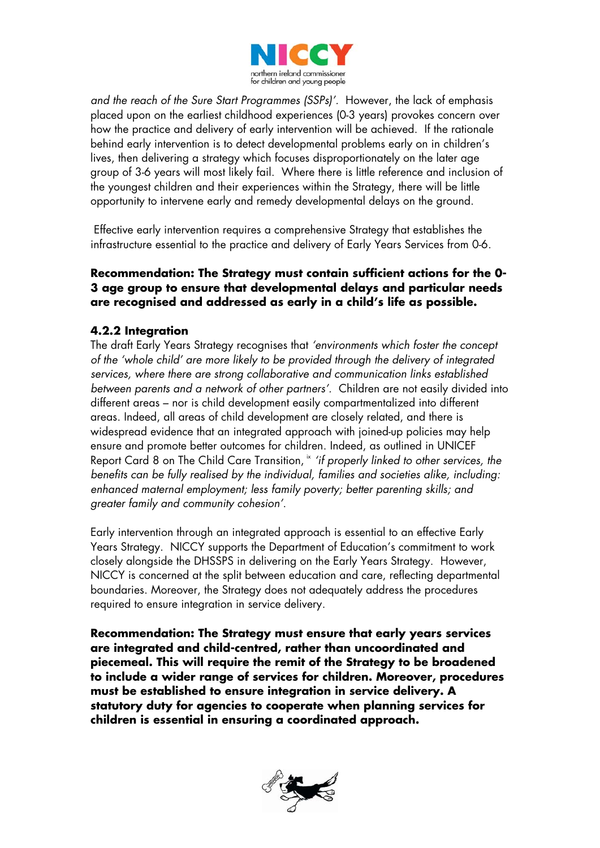

*and the reach of the Sure Start Programmes (SSPs)'.* However, the lack of emphasis placed upon on the earliest childhood experiences (0-3 years) provokes concern over how the practice and delivery of early intervention will be achieved. If the rationale behind early intervention is to detect developmental problems early on in children's lives, then delivering a strategy which focuses disproportionately on the later age group of 3-6 years will most likely fail. Where there is little reference and inclusion of the youngest children and their experiences within the Strategy, there will be little opportunity to intervene early and remedy developmental delays on the ground.

 Effective early intervention requires a comprehensive Strategy that establishes the infrastructure essential to the practice and delivery of Early Years Services from 0-6.

#### **Recommendation: The Strategy must contain sufficient actions for the 0- 3 age group to ensure that developmental delays and particular needs are recognised and addressed as early in a child's life as possible.**

## **4.2.2 Integration**

The draft Early Years Strategy recognises that *'environments which foster the concept of the 'whole child' are more likely to be provided through the delivery of integrated services, where there are strong collaborative and communication links established between parents and a network of other partners'.* Children are not easily divided into different areas – nor is child development easily compartmentalized into different areas. Indeed, all areas of child development are closely related, and there is widespread evidence that an integrated approach with joined-up policies may help ensure and promote better outcomes for children. Indeed, as outlined in UNICEF Report Card 8 on The Child Care Transition,  $\frac{1}{x}$  *'if properly linked to other services, the benefits can be fully realised by the individual, families and societies alike, including: enhanced maternal employment; less family poverty; better parenting skills; and greater family and community cohesion'*.

Early intervention through an integrated approach is essential to an effective Early Years Strategy. NICCY supports the Department of Education's commitment to work closely alongside the DHSSPS in delivering on the Early Years Strategy. However, NICCY is concerned at the split between education and care, reflecting departmental boundaries. Moreover, the Strategy does not adequately address the procedures required to ensure integration in service delivery.

**Recommendation: The Strategy must ensure that early years services are integrated and child-centred, rather than uncoordinated and piecemeal. This will require the remit of the Strategy to be broadened to include a wider range of services for children. Moreover, procedures must be established to ensure integration in service delivery. A statutory duty for agencies to cooperate when planning services for children is essential in ensuring a coordinated approach.** 

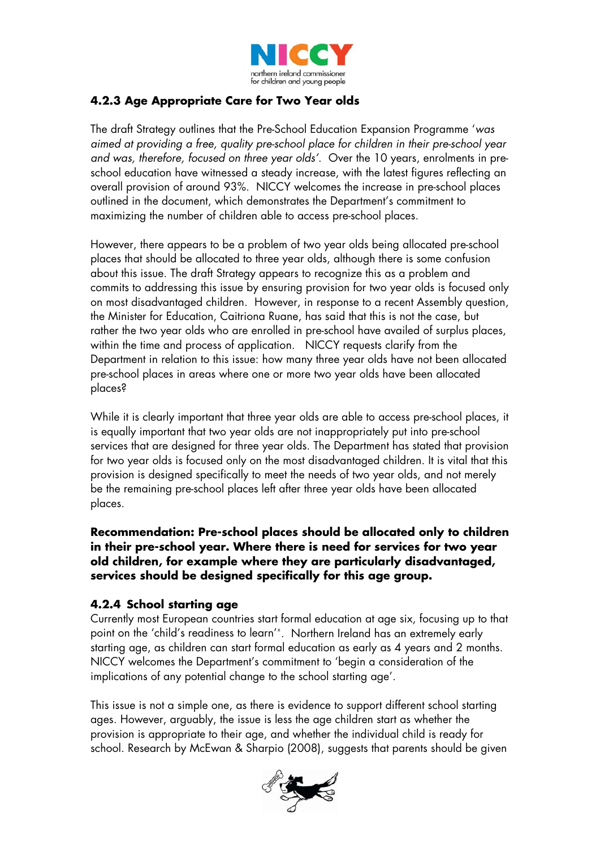

# **4.2.3 Age Appropriate Care for Two Year olds**

The draft Strategy outlines that the Pre-School Education Expansion Programme '*was aimed at providing a free, quality pre-school place for children in their pre-school year and was, therefore, focused on three year olds'*. Over the 10 years, enrolments in preschool education have witnessed a steady increase, with the latest figures reflecting an overall provision of around 93%. NICCY welcomes the increase in pre-school places outlined in the document, which demonstrates the Department's commitment to maximizing the number of children able to access pre-school places.

However, there appears to be a problem of two year olds being allocated pre-school places that should be allocated to three year olds, although there is some confusion about this issue. The draft Strategy appears to recognize this as a problem and commits to addressing this issue by ensuring provision for two year olds is focused only on most disadvantaged children. However, in response to a recent Assembly question, the Minister for Education, Caitriona Ruane, has said that this is not the case, but rather the two year olds who are enrolled in pre-school have availed of surplus places, within the time and process of application. NICCY requests clarify from the Department in relation to this issue: how many three year olds have not been allocated pre-school places in areas where one or more two year olds have been allocated places?

While it is clearly important that three year olds are able to access pre-school places, it is equally important that two year olds are not inappropriately put into pre-school services that are designed for three year olds. The Department has stated that provision for two year olds is focused only on the most disadvantaged children. It is vital that this provision is designed specifically to meet the needs of two year olds, and not merely be the remaining pre-school places left after three year olds have been allocated places.

**Recommendation: Pre-school places should be allocated only to children in their pre-school year. Where there is need for services for two year old children, for example where they are particularly disadvantaged, services should be designed specifically for this age group.** 

#### **4.2.4 School starting age**

Currently most European countries start formal education at age six, focusing up to that point on the 'child's readiness to learn'<sup>[x](#page-14-3)</sup>. Northern Ireland has an extremely early starting age, as children can start formal education as early as 4 years and 2 months. NICCY welcomes the Department's commitment to 'begin a consideration of the implications of any potential change to the school starting age'.

This issue is not a simple one, as there is evidence to support different school starting ages. However, arguably, the issue is less the age children start as whether the provision is appropriate to their age, and whether the individual child is ready for school. Research by McEwan & Sharpio (2008), suggests that parents should be given

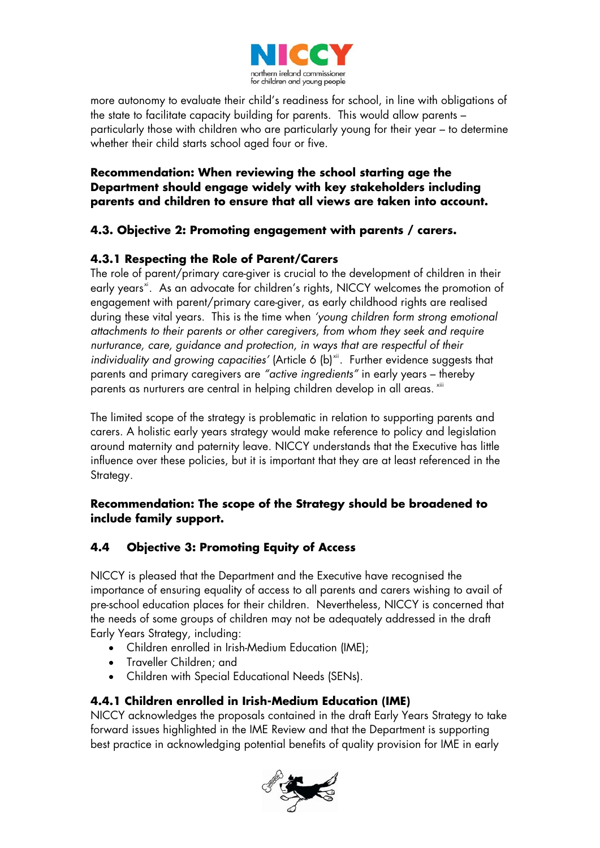

more autonomy to evaluate their child's readiness for school, in line with obligations of the state to facilitate capacity building for parents. This would allow parents – particularly those with children who are particularly young for their year – to determine whether their child starts school aged four or five.

#### **Recommendation: When reviewing the school starting age the Department should engage widely with key stakeholders including parents and children to ensure that all views are taken into account.**

## **4.3. Objective 2: Promoting engagement with parents / carers.**

# **4.3.1 Respecting the Role of Parent/Carers**

The role of parent/primary care-giver is crucial to the development of children in their early years<sup>[xi](#page-14-4)</sup>. As an advocate for children's rights, NICCY welcomes the promotion of engagement with parent/primary care-giver, as early childhood rights are realised during these vital years. This is the time when *'young children form strong emotional attachments to their parents or other caregivers, from whom they seek and require nurturance, care, guidance and protection, in ways that are respectful of their individuality and growing capacities'* (Article 6 (b)<sup>[xii](#page-14-5)</sup>. Further evidence suggests that parents and primary caregivers are *"active ingredients"* in early years – thereby parents as nurturers are central in helping children develop in all areas. [xiii](#page-14-6)

The limited scope of the strategy is problematic in relation to supporting parents and carers. A holistic early years strategy would make reference to policy and legislation around maternity and paternity leave. NICCY understands that the Executive has little influence over these policies, but it is important that they are at least referenced in the Strategy.

## **Recommendation: The scope of the Strategy should be broadened to include family support.**

## **4.4 Objective 3: Promoting Equity of Access**

NICCY is pleased that the Department and the Executive have recognised the importance of ensuring equality of access to all parents and carers wishing to avail of pre-school education places for their children. Nevertheless, NICCY is concerned that the needs of some groups of children may not be adequately addressed in the draft Early Years Strategy, including:

- Children enrolled in Irish-Medium Education (IME);
- Traveller Children; and
- Children with Special Educational Needs (SENs).

## **4.4.1 Children enrolled in Irish-Medium Education (IME)**

NICCY acknowledges the proposals contained in the draft Early Years Strategy to take forward issues highlighted in the IME Review and that the Department is supporting best practice in acknowledging potential benefits of quality provision for IME in early

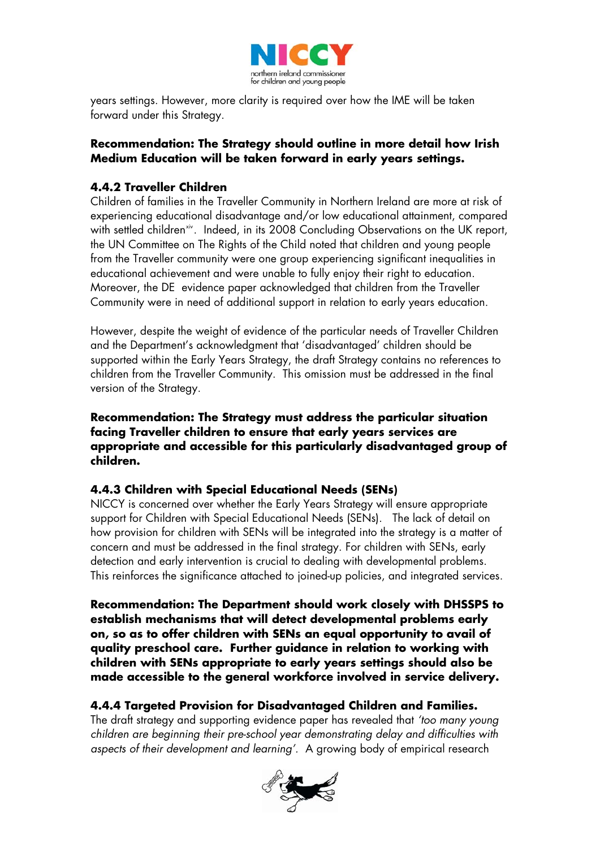

years settings. However, more clarity is required over how the IME will be taken forward under this Strategy.

#### **Recommendation: The Strategy should outline in more detail how Irish Medium Education will be taken forward in early years settings.**

## **4.4.2 Traveller Children**

Children of families in the Traveller Community in Northern Ireland are more at risk of experiencing educational disadvantage and/or low educational attainment, compared with settled children<sup>[xiv](#page-14-7)</sup>. Indeed, in its 2008 Concluding Observations on the UK report, the UN Committee on The Rights of the Child noted that children and young people from the Traveller community were one group experiencing significant inequalities in educational achievement and were unable to fully enjoy their right to education. Moreover, the DE evidence paper acknowledged that children from the Traveller Community were in need of additional support in relation to early years education.

However, despite the weight of evidence of the particular needs of Traveller Children and the Department's acknowledgment that 'disadvantaged' children should be supported within the Early Years Strategy, the draft Strategy contains no references to children from the Traveller Community. This omission must be addressed in the final version of the Strategy.

**Recommendation: The Strategy must address the particular situation facing Traveller children to ensure that early years services are appropriate and accessible for this particularly disadvantaged group of children.** 

#### **4.4.3 Children with Special Educational Needs (SENs)**

NICCY is concerned over whether the Early Years Strategy will ensure appropriate support for Children with Special Educational Needs (SENs). The lack of detail on how provision for children with SENs will be integrated into the strategy is a matter of concern and must be addressed in the final strategy. For children with SENs, early detection and early intervention is crucial to dealing with developmental problems. This reinforces the significance attached to joined-up policies, and integrated services.

**Recommendation: The Department should work closely with DHSSPS to establish mechanisms that will detect developmental problems early on, so as to offer children with SENs an equal opportunity to avail of quality preschool care. Further guidance in relation to working with children with SENs appropriate to early years settings should also be made accessible to the general workforce involved in service delivery.** 

## **4.4.4 Targeted Provision for Disadvantaged Children and Families.**

The draft strategy and supporting evidence paper has revealed that *'too many young children are beginning their pre-school year demonstrating delay and difficulties with aspects of their development and learning'.* A growing body of empirical research

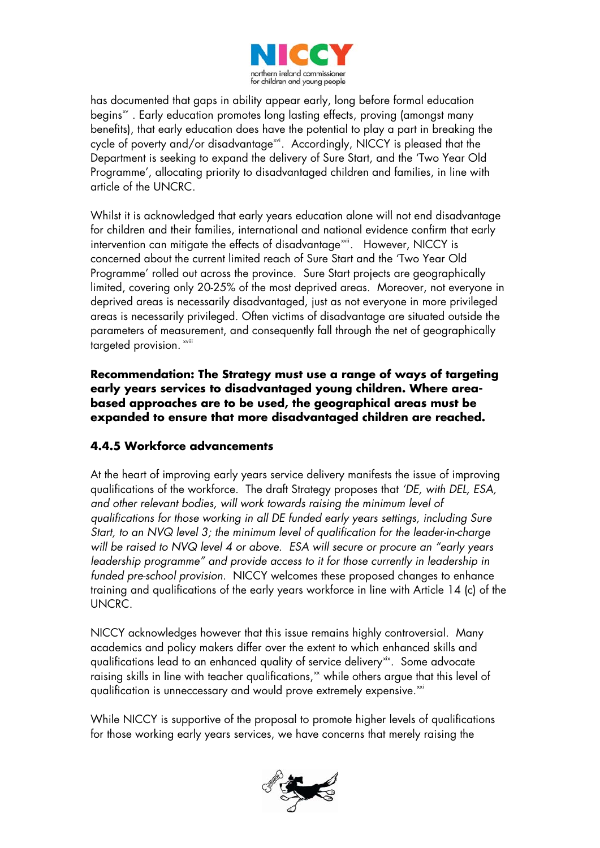

has documented that gaps in ability appear early, long before formal education begins<sup>x</sup>. Early education promotes long lasting effects, proving (amongst many benefits), that early education does have the potential to play a part in breaking the cycle of poverty and/or disadvantage<sup>[xvi](#page-14-9)</sup>. Accordingly, NICCY is pleased that the Department is seeking to expand the delivery of Sure Start, and the 'Two Year Old Programme', allocating priority to disadvantaged children and families, in line with article of the UNCRC.

Whilst it is acknowledged that early years education alone will not end disadvantage for children and their families, international and national evidence confirm that early intervention can mitigate the effects of disadvantage<sup>[xvii](#page-14-10)</sup>. However, NICCY is concerned about the current limited reach of Sure Start and the 'Two Year Old Programme' rolled out across the province. Sure Start projects are geographically limited, covering only 20-25% of the most deprived areas. Moreover, not everyone in deprived areas is necessarily disadvantaged, just as not everyone in more privileged areas is necessarily privileged. Often victims of disadvantage are situated outside the parameters of measurement, and consequently fall through the net of geographically targeted provision. [xviii](#page-14-11)

**Recommendation: The Strategy must use a range of ways of targeting early years services to disadvantaged young children. Where areabased approaches are to be used, the geographical areas must be expanded to ensure that more disadvantaged children are reached.** 

## **4.4.5 Workforce advancements**

At the heart of improving early years service delivery manifests the issue of improving qualifications of the workforce. The draft Strategy proposes that *'DE, with DEL, ESA, and other relevant bodies, will work towards raising the minimum level of qualifications for those working in all DE funded early years settings, including Sure Start, to an NVQ level 3; the minimum level of qualification for the leader-in-charge will be raised to NVQ level 4 or above. ESA will secure or procure an "early years leadership programme" and provide access to it for those currently in leadership in funded pre-school provision*. NICCY welcomes these proposed changes to enhance training and qualifications of the early years workforce in line with Article 14 (c) of the UNCRC.

NICCY acknowledges however that this issue remains highly controversial. Many academics and policy makers differ over the extent to which enhanced skills and qualifications lead to an enhanced quality of service delivery<sup>[xix](#page-14-12)</sup>. Some advocate raising skills in line with teacher qualifications, $x^*$  while others argue that this level of qualification is unneccessary and would prove extremely expensive.<sup>[xxi](#page-14-14)</sup>

While NICCY is supportive of the proposal to promote higher levels of qualifications for those working early years services, we have concerns that merely raising the

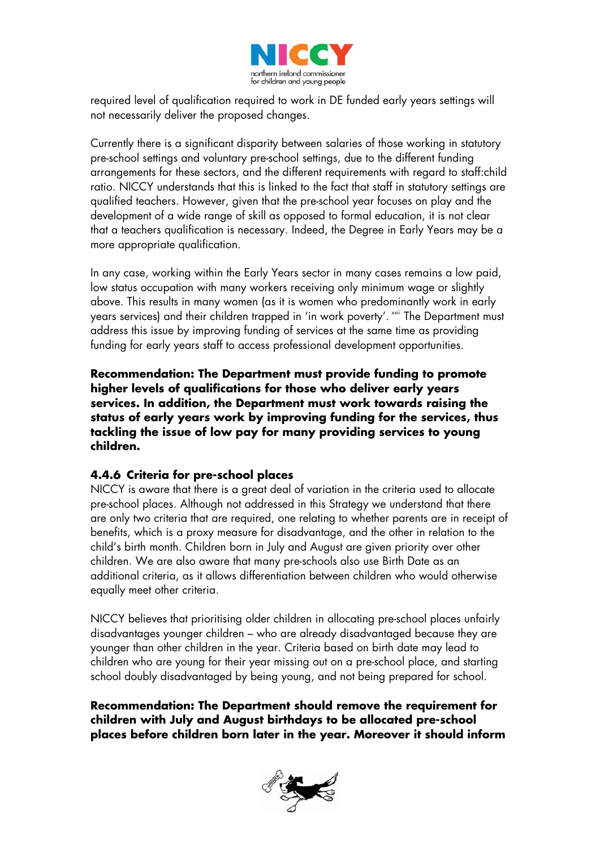

required level of qualification required to work in DE funded early years settings will not necessarily deliver the proposed changes.

Currently there is a significant disparity between salaries of those working in statutory pre-school settings and voluntary pre-school settings, due to the different funding arrangements for these sectors, and the different requirements with regard to staff:child ratio. NICCY understands that this is linked to the fact that staff in statutory settings are qualified teachers. However, given that the pre-school year focuses on play and the development of a wide range of skill as opposed to formal education, it is not clear that a teachers qualification is necessary. Indeed, the Degree in Early Years may be a more appropriate qualification.

In any case, working within the Early Years sector in many cases remains a low paid, low status occupation with many workers receiving only minimum wage or slightly above. This results in many women (as it is women who predominantly work in early years services) and their children trapped in 'in work poverty'. [xxii](#page-14-15) The Department must address this issue by improving funding of services at the same time as providing funding for early years staff to access professional development opportunities.

**Recommendation: The Department must provide funding to promote higher levels of qualifications for those who deliver early years services. In addition, the Department must work towards raising the status of early years work by improving funding for the services, thus tackling the issue of low pay for many providing services to young children.** 

#### **4.4.6 Criteria for pre-school places**

NICCY is aware that there is a great deal of variation in the criteria used to allocate pre-school places. Although not addressed in this Strategy we understand that there are only two criteria that are required, one relating to whether parents are in receipt of benefits, which is a proxy measure for disadvantage, and the other in relation to the child's birth month. Children born in July and August are given priority over other children. We are also aware that many pre-schools also use Birth Date as an additional criteria, as it allows differentiation between children who would otherwise equally meet other criteria.

NICCY believes that prioritising older children in allocating pre-school places unfairly disadvantages younger children – who are already disadvantaged because they are younger than other children in the year. Criteria based on birth date may lead to children who are young for their year missing out on a pre-school place, and starting school doubly disadvantaged by being young, and not being prepared for school.

**Recommendation: The Department should remove the requirement for children with July and August birthdays to be allocated pre-school places before children born later in the year. Moreover it should inform** 

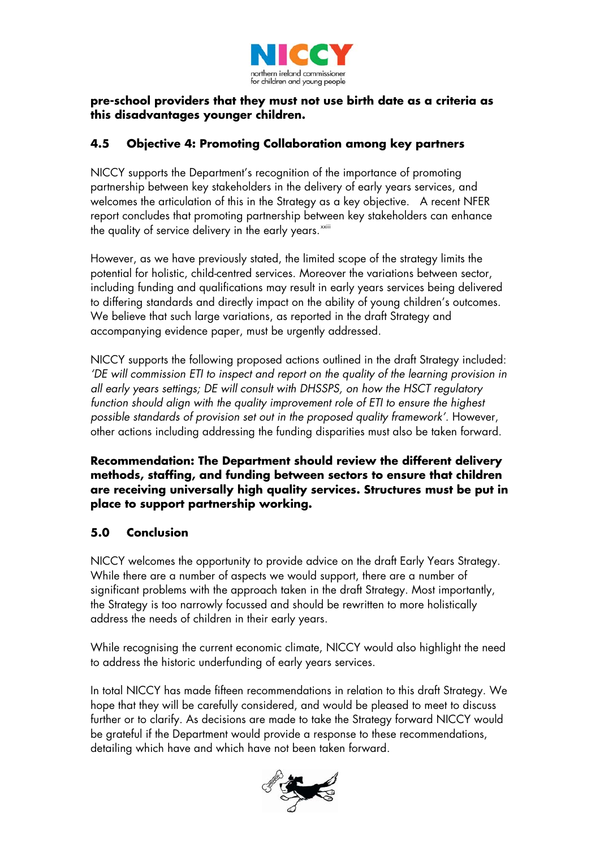

#### **pre-school providers that they must not use birth date as a criteria as this disadvantages younger children.**

## **4.5 Objective 4: Promoting Collaboration among key partners**

NICCY supports the Department's recognition of the importance of promoting partnership between key stakeholders in the delivery of early years services, and welcomes the articulation of this in the Strategy as a key objective. A recent NFER report concludes that promoting partnership between key stakeholders can enhance the quality of service delivery in the early years. $^{\rm{xxiii}}$  $^{\rm{xxiii}}$  $^{\rm{xxiii}}$ 

However, as we have previously stated, the limited scope of the strategy limits the potential for holistic, child-centred services. Moreover the variations between sector, including funding and qualifications may result in early years services being delivered to differing standards and directly impact on the ability of young children's outcomes. We believe that such large variations, as reported in the draft Strategy and accompanying evidence paper, must be urgently addressed.

NICCY supports the following proposed actions outlined in the draft Strategy included: *'DE will commission ETI to inspect and report on the quality of the learning provision in all early years settings; DE will consult with DHSSPS, on how the HSCT regulatory function should align with the quality improvement role of ETI to ensure the highest possible standards of provision set out in the proposed quality framework'.* However, other actions including addressing the funding disparities must also be taken forward.

**Recommendation: The Department should review the different delivery methods, staffing, and funding between sectors to ensure that children are receiving universally high quality services. Structures must be put in place to support partnership working.** 

## **5.0 Conclusion**

NICCY welcomes the opportunity to provide advice on the draft Early Years Strategy. While there are a number of aspects we would support, there are a number of significant problems with the approach taken in the draft Strategy. Most importantly, the Strategy is too narrowly focussed and should be rewritten to more holistically address the needs of children in their early years.

While recognising the current economic climate, NICCY would also highlight the need to address the historic underfunding of early years services.

In total NICCY has made fifteen recommendations in relation to this draft Strategy. We hope that they will be carefully considered, and would be pleased to meet to discuss further or to clarify. As decisions are made to take the Strategy forward NICCY would be grateful if the Department would provide a response to these recommendations, detailing which have and which have not been taken forward.

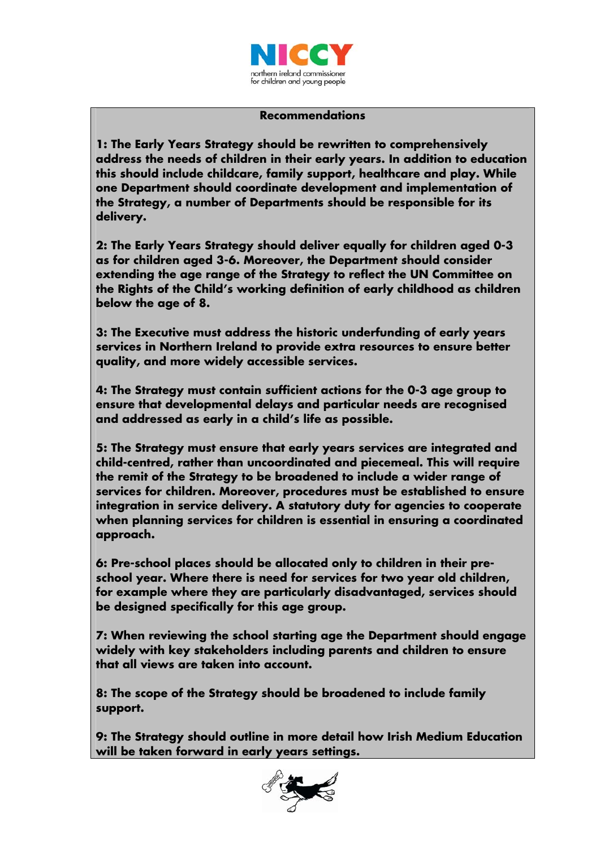

#### **Recommendations**

**1: The Early Years Strategy should be rewritten to comprehensively address the needs of children in their early years. In addition to education this should include childcare, family support, healthcare and play. While one Department should coordinate development and implementation of the Strategy, a number of Departments should be responsible for its delivery.**

**2: The Early Years Strategy should deliver equally for children aged 0-3 as for children aged 3-6. Moreover, the Department should consider extending the age range of the Strategy to reflect the UN Committee on the Rights of the Child's working definition of early childhood as children below the age of 8.** 

**3: The Executive must address the historic underfunding of early years services in Northern Ireland to provide extra resources to ensure better quality, and more widely accessible services.** 

**4: The Strategy must contain sufficient actions for the 0-3 age group to ensure that developmental delays and particular needs are recognised and addressed as early in a child's life as possible.** 

**5: The Strategy must ensure that early years services are integrated and child-centred, rather than uncoordinated and piecemeal. This will require the remit of the Strategy to be broadened to include a wider range of services for children. Moreover, procedures must be established to ensure integration in service delivery. A statutory duty for agencies to cooperate when planning services for children is essential in ensuring a coordinated approach.** 

**6: Pre-school places should be allocated only to children in their preschool year. Where there is need for services for two year old children, for example where they are particularly disadvantaged, services should be designed specifically for this age group.** 

**7: When reviewing the school starting age the Department should engage widely with key stakeholders including parents and children to ensure that all views are taken into account.** 

**8: The scope of the Strategy should be broadened to include family support.** 

**9: The Strategy should outline in more detail how Irish Medium Education will be taken forward in early years settings.** 

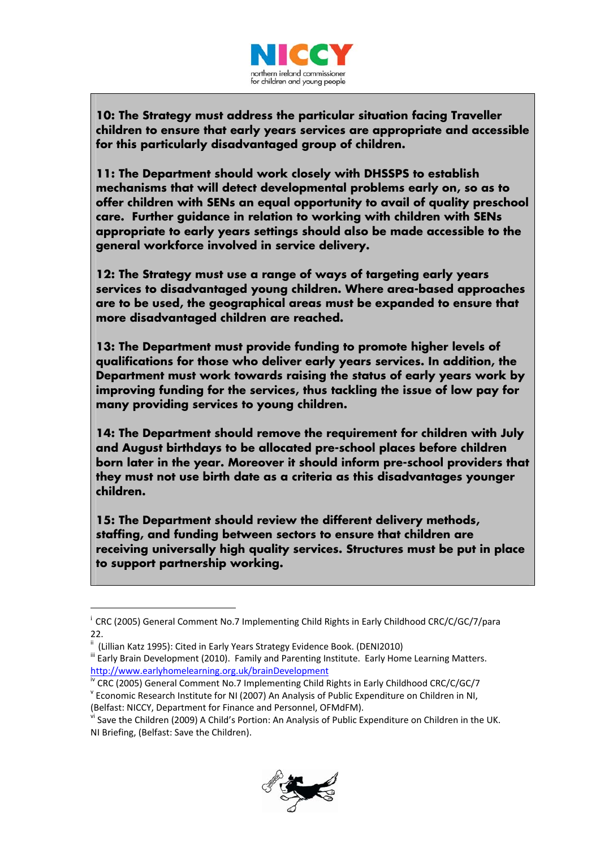

**10: The Strategy must address the particular situation facing Traveller children to ensure that early years services are appropriate and accessible for this particularly disadvantaged group of children.** 

**11: The Department should work closely with DHSSPS to establish mechanisms that will detect developmental problems early on, so as to offer children with SENs an equal opportunity to avail of quality preschool care. Further guidance in relation to working with children with SENs appropriate to early years settings should also be made accessible to the general workforce involved in service delivery.** 

**12: The Strategy must use a range of ways of targeting early years services to disadvantaged young children. Where area-based approaches are to be used, the geographical areas must be expanded to ensure that more disadvantaged children are reached.** 

**13: The Department must provide funding to promote higher levels of qualifications for those who deliver early years services. In addition, the Department must work towards raising the status of early years work by improving funding for the services, thus tackling the issue of low pay for many providing services to young children.** 

**14: The Department should remove the requirement for children with July and August birthdays to be allocated pre-school places before children born later in the year. Moreover it should inform pre-school providers that they must not use birth date as a criteria as this disadvantages younger children.** 

**15: The Department should review the different delivery methods, staffing, and funding between sectors to ensure that children are receiving universally high quality services. Structures must be put in place to support partnership working.** 

l

<span id="page-13-5"></span>NI Briefing, (Belfast: Save the Children).



<span id="page-13-0"></span> $\frac{1}{1}$  CRC (2005) General Comment No.7 Implementing Child Rights in Early Childhood CRC/C/GC/7/para  $22.$ 

ii (Lillian Katz 1995): Cited in Early Years Strategy Evidence Book. (DENI2010)

<span id="page-13-2"></span><span id="page-13-1"></span><sup>&</sup>quot; Early Brain Development (2010). Family and Parenting Institute. Early Home Learning Matters.

<span id="page-13-3"></span><http://www.earlyhomelearning.org.uk/brainDevelopment><br>
Exec (2005) General Comment No.7 Implementing Child Rights in Early Childhood CRC/C/GC/7<br>
Y Economic Research Institute for NI (2007) An Analysis of Public Expenditure

<span id="page-13-4"></span><sup>(</sup>Belfast: NICCY, Department for Finance and Personnel, OFMdFM).<br><sup>vi</sup> Save the Children (2009) A Child's Portion: An Analysis of Public Expenditure on Children in the UK.